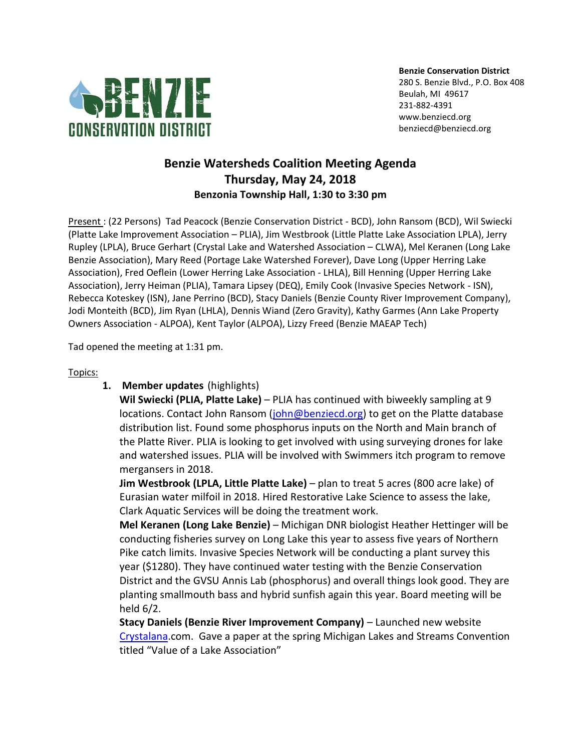

**Benzie Conservation District**

280 S. Benzie Blvd., P.O. Box 408 Beulah, MI 49617 231-882-4391 www.benziecd.org benziecd@benziecd.org

# **Benzie Watersheds Coalition Meeting Agenda Thursday, May 24, 2018 Benzonia Township Hall, 1:30 to 3:30 pm**

Present : (22 Persons) Tad Peacock (Benzie Conservation District - BCD), John Ransom (BCD), Wil Swiecki (Platte Lake Improvement Association – PLIA), Jim Westbrook (Little Platte Lake Association LPLA), Jerry Rupley (LPLA), Bruce Gerhart (Crystal Lake and Watershed Association – CLWA), Mel Keranen (Long Lake Benzie Association), Mary Reed (Portage Lake Watershed Forever), Dave Long (Upper Herring Lake Association), Fred Oeflein (Lower Herring Lake Association - LHLA), Bill Henning (Upper Herring Lake Association), Jerry Heiman (PLIA), Tamara Lipsey (DEQ), Emily Cook (Invasive Species Network - ISN), Rebecca Koteskey (ISN), Jane Perrino (BCD), Stacy Daniels (Benzie County River Improvement Company), Jodi Monteith (BCD), Jim Ryan (LHLA), Dennis Wiand (Zero Gravity), Kathy Garmes (Ann Lake Property Owners Association - ALPOA), Kent Taylor (ALPOA), Lizzy Freed (Benzie MAEAP Tech)

Tad opened the meeting at 1:31 pm.

#### Topics:

**1. Member updates** (highlights)

**Wil Swiecki (PLIA, Platte Lake)** – PLIA has continued with biweekly sampling at 9 locations. Contact John Ransom [\(john@benziecd.org\)](mailto:john@benziecd.org) to get on the Platte database distribution list. Found some phosphorus inputs on the North and Main branch of the Platte River. PLIA is looking to get involved with using surveying drones for lake and watershed issues. PLIA will be involved with Swimmers itch program to remove mergansers in 2018.

**Jim Westbrook (LPLA, Little Platte Lake)** – plan to treat 5 acres (800 acre lake) of Eurasian water milfoil in 2018. Hired Restorative Lake Science to assess the lake, Clark Aquatic Services will be doing the treatment work.

**Mel Keranen (Long Lake Benzie)** – Michigan DNR biologist Heather Hettinger will be conducting fisheries survey on Long Lake this year to assess five years of Northern Pike catch limits. Invasive Species Network will be conducting a plant survey this year (\$1280). They have continued water testing with the Benzie Conservation District and the GVSU Annis Lab (phosphorus) and overall things look good. They are planting smallmouth bass and hybrid sunfish again this year. Board meeting will be held 6/2.

**Stacy Daniels (Benzie River Improvement Company)** - Launched new website [Crystalana.](http://www.crystalana.com/)com. Gave a paper at the spring Michigan Lakes and Streams Convention titled "Value of a Lake Association"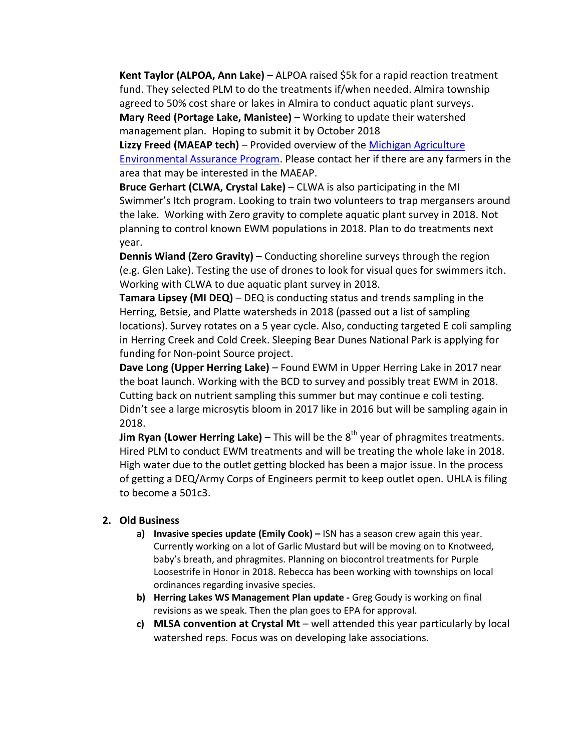**Kent Taylor (ALPOA, Ann Lake)** – ALPOA raised \$5k for a rapid reaction treatment fund. They selected PLM to do the treatments if/when needed. Almira township agreed to 50% cost share or lakes in Almira to conduct aquatic plant surveys.

**Mary Reed (Portage Lake, Manistee)** – Working to update their watershed management plan. Hoping to submit it by October 2018

**Lizzy Freed (MAEAP tech)** – Provided overview of th[e Michigan Agriculture](http://www.maeap.org/)  [Environmental Assurance Program.](http://www.maeap.org/) Please contact her if there are any farmers in the area that may be interested in the MAEAP.

**Bruce Gerhart (CLWA, Crystal Lake)** – CLWA is also participating in the MI Swimmer's Itch program. Looking to train two volunteers to trap mergansers around the lake. Working with Zero gravity to complete aquatic plant survey in 2018. Not planning to control known EWM populations in 2018. Plan to do treatments next year.

**Dennis Wiand (Zero Gravity)** – Conducting shoreline surveys through the region (e.g. Glen Lake). Testing the use of drones to look for visual ques for swimmers itch. Working with CLWA to due aquatic plant survey in 2018.

**Tamara Lipsey (MI DEQ)** – DEQ is conducting status and trends sampling in the Herring, Betsie, and Platte watersheds in 2018 (passed out a list of sampling locations). Survey rotates on a 5 year cycle. Also, conducting targeted E coli sampling in Herring Creek and Cold Creek. Sleeping Bear Dunes National Park is applying for funding for Non-point Source project.

**Dave Long (Upper Herring Lake)** – Found EWM in Upper Herring Lake in 2017 near the boat launch. Working with the BCD to survey and possibly treat EWM in 2018. Cutting back on nutrient sampling this summer but may continue e coli testing. Didn't see a large microsytis bloom in 2017 like in 2016 but will be sampling again in 2018.

**Jim Ryan (Lower Herring Lake)** – This will be the 8<sup>th</sup> year of phragmites treatments. Hired PLM to conduct EWM treatments and will be treating the whole lake in 2018. High water due to the outlet getting blocked has been a major issue. In the process of getting a DEQ/Army Corps of Engineers permit to keep outlet open. UHLA is filing to become a 501c3.

#### **2. Old Business**

- **a) Invasive species update (Emily Cook) –** ISN has a season crew again this year. Currently working on a lot of Garlic Mustard but will be moving on to Knotweed, baby's breath, and phragmites. Planning on biocontrol treatments for Purple Loosestrife in Honor in 2018. Rebecca has been working with townships on local ordinances regarding invasive species.
- **b) Herring Lakes WS Management Plan update -** Greg Goudy is working on final revisions as we speak. Then the plan goes to EPA for approval.
- **c) MLSA convention at Crystal Mt**  well attended this year particularly by local watershed reps. Focus was on developing lake associations.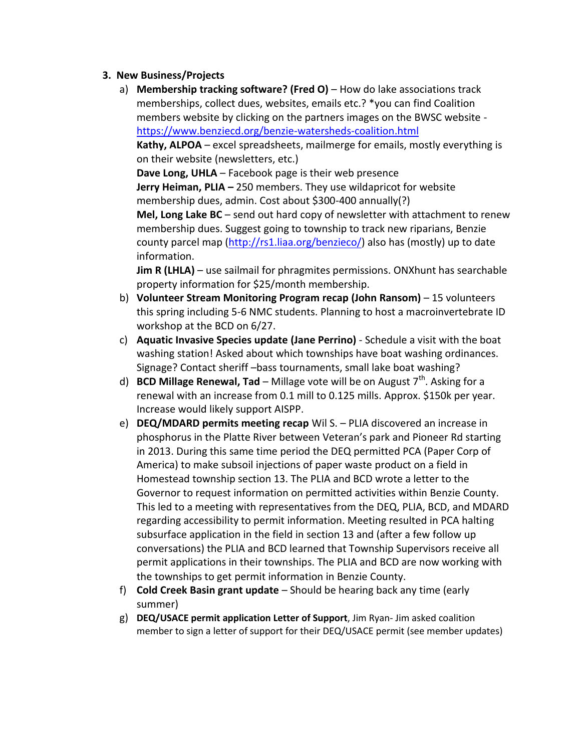### **3. New Business/Projects**

a) **Membership tracking software? (Fred O)** – How do lake associations track memberships, collect dues, websites, emails etc.? \*you can find Coalition members website by clicking on the partners images on the BWSC website <https://www.benziecd.org/benzie-watersheds-coalition.html>

**Kathy, ALPOA** – excel spreadsheets, mailmerge for emails, mostly everything is on their website (newsletters, etc.)

**Dave Long, UHLA** – Facebook page is their web presence

**Jerry Heiman, PLIA –** 250 members. They use wildapricot for website membership dues, admin. Cost about \$300-400 annually(?)

**Mel, Long Lake BC** – send out hard copy of newsletter with attachment to renew membership dues. Suggest going to township to track new riparians, Benzie county parcel map [\(http://rs1.liaa.org/benzieco/\)](http://rs1.liaa.org/benzieco/) also has (mostly) up to date information.

**Jim R (LHLA)** – use sailmail for phragmites permissions. ONXhunt has searchable property information for \$25/month membership.

- b) **Volunteer Stream Monitoring Program recap (John Ransom)** 15 volunteers this spring including 5-6 NMC students. Planning to host a macroinvertebrate ID workshop at the BCD on 6/27.
- c) **Aquatic Invasive Species update (Jane Perrino)** Schedule a visit with the boat washing station! Asked about which townships have boat washing ordinances. Signage? Contact sheriff –bass tournaments, small lake boat washing?
- d) **BCD Millage Renewal, Tad** Millage vote will be on August 7<sup>th</sup>. Asking for a renewal with an increase from 0.1 mill to 0.125 mills. Approx. \$150k per year. Increase would likely support AISPP.
- e) **DEQ/MDARD permits meeting recap** Wil S. PLIA discovered an increase in phosphorus in the Platte River between Veteran's park and Pioneer Rd starting in 2013. During this same time period the DEQ permitted PCA (Paper Corp of America) to make subsoil injections of paper waste product on a field in Homestead township section 13. The PLIA and BCD wrote a letter to the Governor to request information on permitted activities within Benzie County. This led to a meeting with representatives from the DEQ, PLIA, BCD, and MDARD regarding accessibility to permit information. Meeting resulted in PCA halting subsurface application in the field in section 13 and (after a few follow up conversations) the PLIA and BCD learned that Township Supervisors receive all permit applications in their townships. The PLIA and BCD are now working with the townships to get permit information in Benzie County.
- f) **Cold Creek Basin grant update** Should be hearing back any time (early summer)
- g) **DEQ/USACE permit application Letter of Support**, Jim Ryan- Jim asked coalition member to sign a letter of support for their DEQ/USACE permit (see member updates)